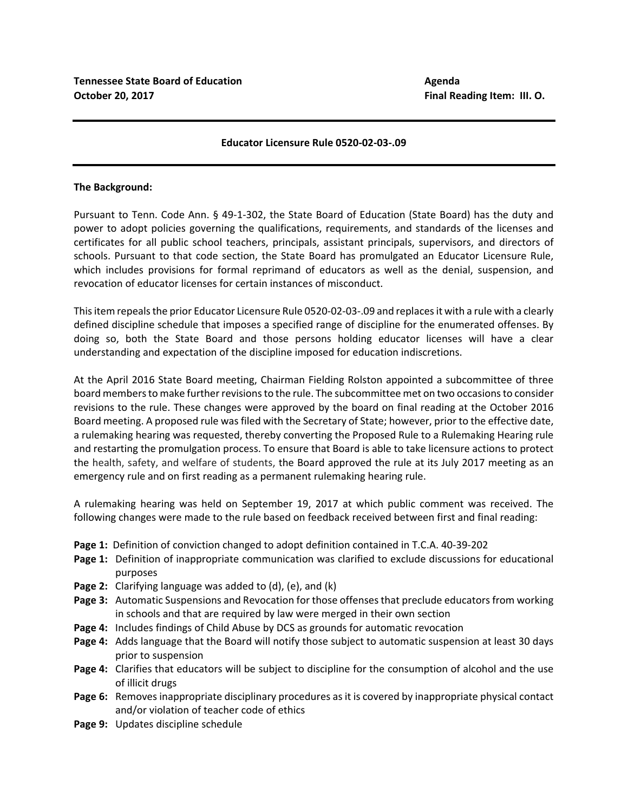## **Educator Licensure Rule 0520‐02‐03‐.09**

## **The Background:**

Pursuant to Tenn. Code Ann. § 49‐1‐302, the State Board of Education (State Board) has the duty and power to adopt policies governing the qualifications, requirements, and standards of the licenses and certificates for all public school teachers, principals, assistant principals, supervisors, and directors of schools. Pursuant to that code section, the State Board has promulgated an Educator Licensure Rule, which includes provisions for formal reprimand of educators as well as the denial, suspension, and revocation of educator licenses for certain instances of misconduct.

This item repeals the prior Educator Licensure Rule 0520‐02‐03‐.09 and replaces it with a rule with a clearly defined discipline schedule that imposes a specified range of discipline for the enumerated offenses. By doing so, both the State Board and those persons holding educator licenses will have a clear understanding and expectation of the discipline imposed for education indiscretions.

At the April 2016 State Board meeting, Chairman Fielding Rolston appointed a subcommittee of three board members to make further revisions to the rule. The subcommittee met on two occasions to consider revisions to the rule. These changes were approved by the board on final reading at the October 2016 Board meeting. A proposed rule was filed with the Secretary of State; however, prior to the effective date, a rulemaking hearing was requested, thereby converting the Proposed Rule to a Rulemaking Hearing rule and restarting the promulgation process. To ensure that Board is able to take licensure actions to protect the health, safety, and welfare of students, the Board approved the rule at its July 2017 meeting as an emergency rule and on first reading as a permanent rulemaking hearing rule.

A rulemaking hearing was held on September 19, 2017 at which public comment was received. The following changes were made to the rule based on feedback received between first and final reading:

- **Page 1:**  Definition of conviction changed to adopt definition contained in T.C.A. 40‐39‐202
- **Page 1:** Definition of inappropriate communication was clarified to exclude discussions for educational purposes
- **Page 2:** Clarifying language was added to (d), (e), and (k)
- **Page 3:** Automatic Suspensions and Revocation for those offenses that preclude educators from working in schools and that are required by law were merged in their own section
- **Page 4:** Includes findings of Child Abuse by DCS as grounds for automatic revocation
- Page 4: Adds language that the Board will notify those subject to automatic suspension at least 30 days prior to suspension
- **Page 4:**  Clarifies that educators will be subject to discipline for the consumption of alcohol and the use of illicit drugs
- **Page 6:**  Removes inappropriate disciplinary procedures as it is covered by inappropriate physical contact and/or violation of teacher code of ethics
- **Page 9:** Updates discipline schedule